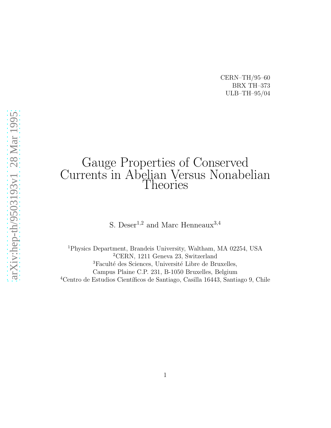CERN–TH/95–60 BRX TH–373 ULB–TH–95/04

# Gauge Properties of Conserved Currents in Abelian Versus Nonabelian Theories

S. Deser<sup>1,2</sup> and Marc Henneaux<sup>3,4</sup>

<sup>1</sup>Physics Department, Brandeis University, Waltham, MA 02254, USA <sup>2</sup>CERN, 1211 Geneva 23, Switzerland <sup>3</sup>Faculté des Sciences, Université Libre de Bruxelles, Campus Plaine C.P. 231, B-1050 Bruxelles, Belgium <sup>4</sup>Centro de Estudios Científicos de Santiago, Casilla 16443, Santiago 9, Chile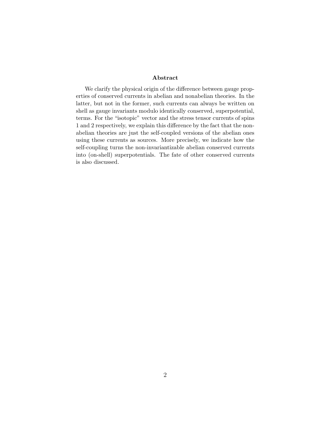#### Abstract

We clarify the physical origin of the difference between gauge properties of conserved currents in abelian and nonabelian theories. In the latter, but not in the former, such currents can always be written on shell as gauge invariants modulo identically conserved, superpotential, terms. For the "isotopic" vector and the stress tensor currents of spins 1 and 2 respectively, we explain this difference by the fact that the nonabelian theories are just the self-coupled versions of the abelian ones using these currents as sources. More precisely, we indicate how the self-coupling turns the non-invariantizable abelian conserved currents into (on-shell) superpotentials. The fate of other conserved currents is also discussed.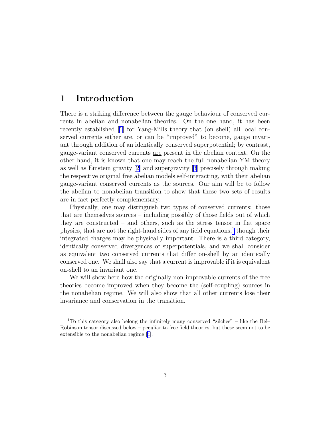#### 1 Introduction

There is a striking difference between the gauge behaviour of conserved currents in abelian and nonabelian theories. On the one hand, it has been recently established[[1\]](#page-8-0) for Yang-Mills theory that (on shell) all local conserved currents either are, or can be "improved" to become, gauge invariant through addition of an identically conserved superpotential; by contrast, gauge-variant conserved currents are present in the abelian context. On the other hand, it is known that one may reach the full nonabelian YM theory as well as Einstein gravity[[2\]](#page-8-0) and supergravity[[3\]](#page-8-0) precisely through making the respective original free abelian models self-interacting, with their abelian gauge-variant conserved currents as the sources. Our aim will be to follow the abelian to nonabelian transition to show that these two sets of results are in fact perfectly complementary.

Physically, one may distinguish two types of conserved currents: those that are themselves sources – including possibly of those fields out of which they are constructed – and others, such as the stress tensor in flat space physics, that are not the right-hand sides of any field equations,<sup>1</sup> though their integrated charges may be physically important. There is a third category, identically conserved divergences of superpotentials, and we shall consider as equivalent two conserved currents that differ on-shell by an identically conserved one. We shall also say that a current is improvable if it is equivalent on-shell to an invariant one.

We will show here how the originally non-improvable currents of the free theories become improved when they become the (self-coupling) sources in the nonabelian regime. We will also show that all other currents lose their invariance and conservation in the transition.

 $1$ To this category also belong the infinitely many conserved "zilches" – like the Bel– Robinson tensor discussed below – peculiar to free field theories, but these seem not to be extensible to the nonabelian regime[[4\]](#page-8-0).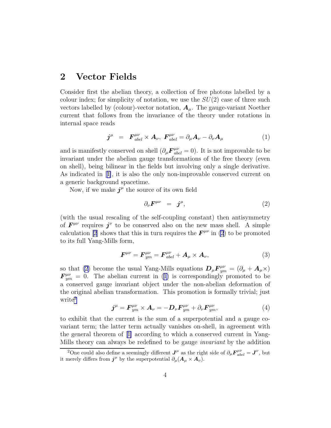#### <span id="page-3-0"></span>2 Vector Fields

Consider first the abelian theory, a collection of free photons labelled by a colour index; for simplicity of notation, we use the  $SU(2)$  case of three such vectors labelled by (colour)-vector notation,  $A_{\mu}$ . The gauge-variant Noether current that follows from the invariance of the theory under rotations in internal space reads

$$
\boldsymbol{j}^{\mu} = \boldsymbol{F}_{abel}^{\mu\nu} \times \boldsymbol{A}_{\nu}, \ \boldsymbol{F}_{abel}^{\mu\nu} = \partial_{\mu} \boldsymbol{A}_{\nu} - \partial_{\nu} \boldsymbol{A}_{\mu} \tag{1}
$$

and is manifestly conserved on shell  $(\partial_{\mu} F^{\mu\nu}_{abel} = 0)$ . It is not improvable to be invariant under the abelian gauge transformations of the free theory (even on shell), being bilinear in the fields but involving only a single derivative. As indicated in[[1\]](#page-8-0), it is also the only non-improvable conserved current on a generic background spacetime.

Now, if we make  $j^{\mu}$  the source of its own field

$$
\partial_{\nu} \boldsymbol{F}^{\mu \nu} = \boldsymbol{j}^{\mu}, \qquad (2)
$$

(with the usual rescaling of the self-coupling constant) then antisymmetry of  $\mathbf{F}^{\mu\nu}$  requires  $j^{\nu}$  to be conserved also on the new mass shell. A simple calculation [\[2](#page-8-0)] shows that this in turn requires the  $\mathbf{F}^{\mu\nu}$  in (2) to be promoted to its full Yang-Mills form,

$$
\boldsymbol{F}^{\mu\nu} = \boldsymbol{F}_{ym}^{\mu\nu} = \boldsymbol{F}_{abel}^{\mu\nu} + \boldsymbol{A}_{\mu} \times \boldsymbol{A}_{\nu}, \tag{3}
$$

so that (2) become the usual Yang-Mills equations  $\mathbf{D}_{\mu} \mathbf{F}_{ym}^{\mu\nu} = (\partial_{\mu} + \mathbf{A}_{\mu} \times)$  $\mathbf{F}_{ym}^{\mu\nu} = 0$ . The abelian current in (1) is correspondingly promoted to be a conserved gauge invariant object under the non-abelian deformation of the original abelian transformation. This promotion is formally trivial; just write<sup>2</sup>

$$
\boldsymbol{j}^{\mu} = \boldsymbol{F}_{ym}^{\mu\nu} \times \boldsymbol{A}_{\nu} = -\boldsymbol{D}_{\nu} \boldsymbol{F}_{ym}^{\mu\nu} + \partial_{\nu} \boldsymbol{F}_{ym}^{\mu\nu}, \tag{4}
$$

to exhibit that the current is the sum of a superpotential and a gauge covariant term; the latter term actually vanishes on-shell, in agreement with the general theorem of[[1\]](#page-8-0) according to which a conserved current in Yang-Mills theory can always be redefined to be gauge invariant by the addition

<sup>&</sup>lt;sup>2</sup>One could also define a seemingly different  $J^{\mu}$  as the right side of  $\partial_{\mu} \mathbf{F}^{\mu\nu}_{abel} = \mathbf{J}^{\nu}$ , but it merely differs from  $j^{\mu}$  by the superpotential  $\partial_{\mu}(\mathbf{A}_{\mu} \times \mathbf{A}_{\nu})$ .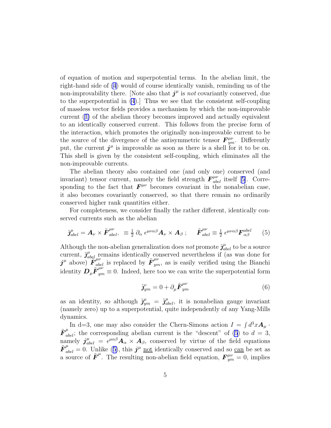of equation of motion and superpotential terms. In the abelian limit, the right-hand side of [\(4](#page-3-0)) would of course identically vanish, reminding us of the non-improvability there. [Note also that  $j^{\mu}$  is not covariantly conserved, due to the superpotential in [\(4](#page-3-0)).] Thus we see that the consistent self-coupling of massless vector fields provides a mechanism by which the non-improvable current ([1\)](#page-3-0) of the abelian theory becomes improved and actually equivalent to an identically conserved current. This follows from the precise form of the interaction, which promotes the originally non-improvable current to be the source of the divergence of the antisymmetric tensor  $\mathbf{F}_{ym}^{\mu\nu}$ . Differently put, the current  $j^{\mu}$  is improvable as soon as there is a shell for it to be on. This shell is given by the consistent self-coupling, which eliminates all the non-improvable currents.

The abelian theory also contained one (and only one) conserved (and invariant)tensor current, namely the field strength  $F^{\mu\nu}_{abel}$  itself [[5\]](#page-8-0). Corresponding to the fact that  $F^{\mu\nu}$  becomes covariant in the nonabelian case, it also becomes covariantly conserved, so that there remain no ordinarily conserved higher rank quantities either.

For completeness, we consider finally the rather different, identically conserved currents such as the abelian

$$
\tilde{\jmath}_{abel}^{\mu} = A_{\nu} \times \tilde{\boldsymbol{F}}_{abel}^{\mu\nu}, \ \ \equiv \tfrac{1}{2} \partial_{\alpha} \epsilon^{\mu\nu\alpha\beta} A_{\nu} \times A_{\beta} ; \quad \ \tilde{\boldsymbol{F}}_{abel}^{\mu\nu} \equiv \tfrac{1}{2} \epsilon^{\mu\nu\alpha\beta} \boldsymbol{F}_{\alpha\beta}^{abel} \tag{5}
$$

Although the non-abelian generalization does *not* promote  $\tilde{\jmath}_{abel}^{\mu}$  to be a source current,  $\tilde{\mathbf{J}}^{\mu}_{abel\ \mu\nu}$  remains identically conserved nevertheless if (as was done for  $j^{\mu}$  above)  $\mathbf{F}_{abel}^{\mu\nu}$  is replaced by  $\tilde{\mathbf{F}}_{ym}^{\mu\nu}$ , as is easily verified using the Bianchi identity  $\mathbf{D}_{\mu}\tilde{\mathbf{F}}_{ym}^{\mu\nu} \equiv 0$ . Indeed, here too we can write the superpotential form

$$
\tilde{\jmath}_{ym}^{\nu} = 0 + \partial_{\mu} \tilde{\boldsymbol{F}}_{ym}^{\mu\nu} \tag{6}
$$

as an identity, so although  $\tilde{\jmath}_{ym}^{\mu} = \tilde{\jmath}_{abel}^{\mu}$ , it is nonabelian gauge invariant (namely zero) up to a superpotential, quite independently of any Yang-Mills dynamics.

In d=3, one may also consider the Chern-Simons action  $I = \int d^3x \mathbf{A}_{\mu}$ .  $\tilde{F}^{\mu}_{abel}$ ; the corresponding abelian current is the "descent" of (5) to  $d = 3$ , namely  $j^{\mu}_{abel} = \epsilon^{\mu\alpha\beta} A_{\alpha} \times A_{\beta}$ , conserved by virtue of the field equations  $\tilde{F}_{abel}^{\mu} = 0$ . Unlike (5), this  $j^{\mu}$  not identically conserved and so can be set as a source of  $\tilde{F}^{\mu}$ . The resulting non-abelian field equation,  $\mathbf{F}^{\mu\nu}_{ym} = 0$ , implies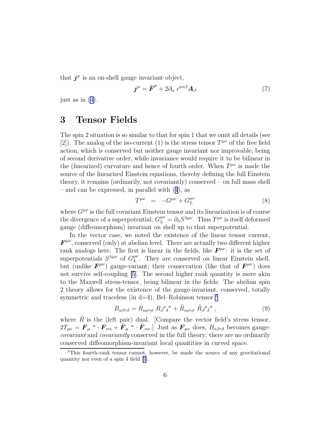that  $j^{\mu}$  is an on-shell gauge invariant object,

$$
\boldsymbol{j}^{\mu} = \tilde{\boldsymbol{F}}^{\mu} + 2\partial_{\alpha} \epsilon^{\mu\alpha\beta} \boldsymbol{A}_{\beta} \tag{7}
$$

just as in [\(4\)](#page-3-0).

#### 3 Tensor Fields

The spin 2 situation is so similar to that for spin 1 that we omit all details (see [2]). The analog of the iso-current (1) is the stress tensor  $T^{\mu\nu}$  of the free field action, which is conserved but neither gauge invariant nor improvable, being of second derivative order, while invariance would require it to be bilinear in the (linearized) curvature and hence of fourth order. When  $T^{\mu\nu}$  is made the source of the linearized Einstein equations, thereby defining the full Einstein theory, it remains (ordinarily, not covariantly) conserved – on full mass shell – and can be expressed, in parallel with ([4](#page-3-0)), as

$$
T^{\mu\nu} = -G^{\mu\nu} + G^{\mu\nu}_L \tag{8}
$$

where  $G^{\mu\nu}$  is the full covariant Einstein tensor and its linearization is of course the divergence of a superpotential,  $G_L^{\mu\nu} = \partial_\lambda S^{\lambda\mu\nu}$ . Thus  $T^{\mu\nu}$  is itself deformed gauge (diffeomorphism) invariant on shell up to that superpotential.

In the vector case, we noted the existence of the linear tensor current,  $\mathbf{F}^{\mu\nu}$ , conserved (only) at abelian level. There are actually two different higher rank analogs here. The first is linear in the fields, like  $F^{\mu\nu}$ : it is the set of superpotentials  $S^{\lambda\mu\nu}$  of  $G_L^{\mu\nu}$ . They are conserved on linear Einstein shell, but (unlike  $F^{\mu\nu}$ ) gauge-variant; their conservation (like that of  $F^{\mu\nu}$ ) does not survive self-coupling [\[5\]](#page-8-0). The second higher rank quantity is more akin to the Maxwell stress-tensor, being bilinear in the fields: The abelian spin 2 theory allows for the existence of the gauge-invariant, conserved, totally symmetric and traceless (in  $d=4$ ), Bel–Robinson tensor.<sup>3</sup>

$$
B_{\alpha\beta\gamma\delta} = R_{\alpha\rho\gamma\sigma} R_{\beta}{}^{\rho}{}_{\delta}{}^{\sigma} + \tilde{R}_{\alpha\rho\gamma\sigma} \tilde{R}_{\beta}{}^{\rho}{}_{\delta}{}^{\sigma} , \qquad (9)
$$

where  $\tilde{R}$  is the (left pair) dual. [Compare the vector field's stress tensor,  $2T_{\mu\nu} = \bm{F}_{\mu}^{\ \alpha} \cdot \bm{F}_{\nu\alpha} + \tilde{\bm{F}}_{\mu}^{\ \alpha} \cdot \tilde{\bm{F}}_{\nu\alpha}$ . Just as  $\bm{F}_{\mu\nu}$  does,  $B_{\alpha\beta\gamma\delta}$  becomes gaugecovariant and covariantly conserved in the full theory; there are no ordinarily conserved diffeomorphism-invariant local quantities in curved space.

<sup>3</sup>This fourth-rank tensor cannot, however, be made the source of any gravitational quantity nor even of a spin 4 field [\[7](#page-8-0)].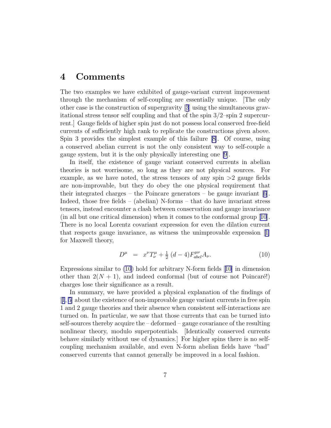#### 4 Comments

The two examples we have exhibited of gauge-variant current improvement through the mechanism of self-coupling are essentially unique. [The only other case is the construction of supergravity[[3](#page-8-0)] using the simultaneous gravitational stress tensor self coupling and that of the spin  $3/2$ –spin 2 supercurrent.] Gauge fields of higher spin just do not possess local conserved free-field currents of sufficiently high rank to replicate the constructions given above. Spin 3 provides the simplest example of this failure [\[8\]](#page-8-0). Of course, using a conserved abelian current is not the only consistent way to self-couple a gauge system, but it is the only physically interesting one [\[9\]](#page-8-0).

In itself, the existence of gauge variant conserved currents in abelian theories is not worrisome, so long as they are not physical sources. For example, as we have noted, the stress tensors of any spin  $>2$  gauge fields are non-improvable, but they do obey the one physical requirement that theirintegrated charges – the Poincare generators – be gauge invariant  $[6]$  $[6]$  $[6]$ . Indeed, those free fields – (abelian) N-forms – that do have invariant stress tensors, instead encounter a clash between conservation and gauge invariance (in all but one critical dimension) when it comes to the conformal group[[10](#page-8-0)]. There is no local Lorentz covariant expression for even the dilation current that respects gauge invariance, as witness the unimprovable expression[[1\]](#page-8-0) for Maxwell theory,

$$
D^{\mu} = x^{\nu} T^{\mu}_{\nu} + \frac{1}{2} (d - 4) F^{\mu \nu}_{abel} A_{\nu}.
$$
 (10)

Expressions similar to (10) hold for arbitrary N-form fields [[10](#page-8-0)] in dimension other than  $2(N + 1)$ , and indeed conformal (but of course not Poincaré!) charges lose their significance as a result.

In summary, we have provided a physical explanation of the findings of [[1](#page-8-0), [5](#page-8-0)] about the existence of non-improvable gauge variant currents in free spin 1 and 2 gauge theories and their absence when consistent self-interactions are turned on. In particular, we saw that those currents that can be turned into self-sources thereby acquire the – deformed – gauge covariance of the resulting nonlinear theory, modulo superpotentials. [Identically conserved currents behave similarly without use of dynamics.] For higher spins there is no selfcoupling mechanism available, and even N-form abelian fields have "bad" conserved currents that cannot generally be improved in a local fashion.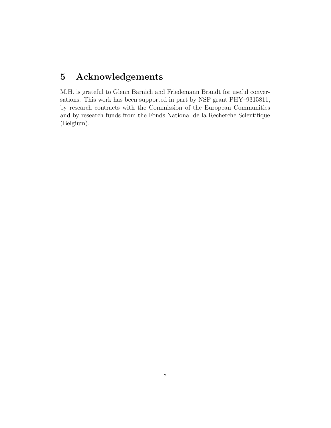## 5 Acknowledgements

M.H. is grateful to Glenn Barnich and Friedemann Brandt for useful conversations. This work has been supported in part by NSF grant PHY–9315811, by research contracts with the Commission of the European Communities and by research funds from the Fonds National de la Recherche Scientifique (Belgium).